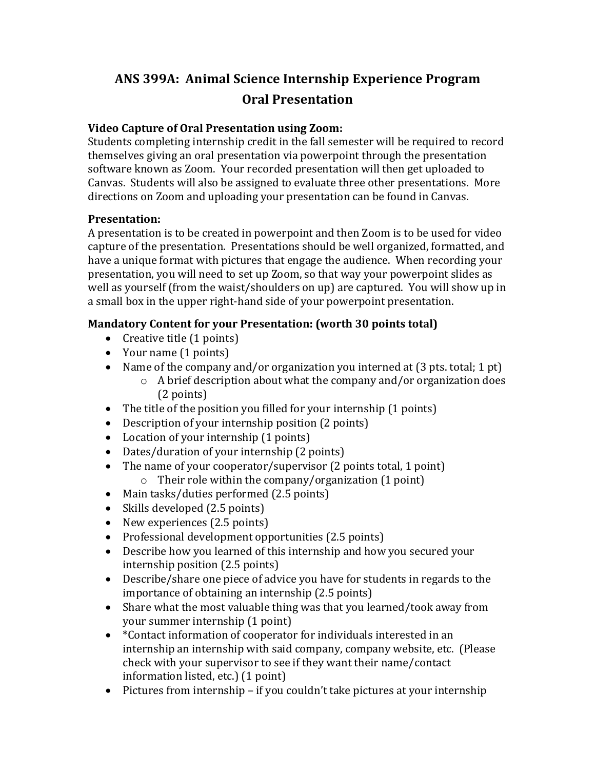# ANS 399A: Animal Science Internship Experience Program **Oral Presentation**

#### **Video Capture of Oral Presentation using Zoom:**

Students completing internship credit in the fall semester will be required to record themselves giving an oral presentation via powerpoint through the presentation software known as Zoom. Your recorded presentation will then get uploaded to Canvas. Students will also be assigned to evaluate three other presentations. More directions on Zoom and uploading your presentation can be found in Canvas.

#### **Presentation:**

A presentation is to be created in powerpoint and then Zoom is to be used for video capture of the presentation. Presentations should be well organized, formatted, and have a unique format with pictures that engage the audience. When recording your presentation, you will need to set up Zoom, so that way your powerpoint slides as well as yourself (from the waist/shoulders on up) are captured. You will show up in a small box in the upper right-hand side of your powerpoint presentation.

## **Mandatory Content for your Presentation: (worth 30 points total)**

- Creative title  $(1 \text{ points})$
- Your name  $(1 \text{ points})$
- Name of the company and/or organization you interned at  $(3 \text{ pts. total}; 1 \text{ pt})$ 
	- $\circ$  A brief description about what the company and/or organization does (2 points)
- The title of the position you filled for your internship (1 points)
- Description of your internship position (2 points)
- Location of your internship  $(1 \text{ points})$
- Dates/duration of your internship  $(2 \text{ points})$
- The name of your cooperator/supervisor  $(2 \text{ points total}, 1 \text{ point})$  $\circ$  Their role within the company/organization (1 point)
- Main tasks/duties performed  $(2.5 \text{ points})$
- Skills developed (2.5 points)
- New experiences (2.5 points)
- Professional development opportunities (2.5 points)
- Describe how you learned of this internship and how you secured your internship position (2.5 points)
- Describe/share one piece of advice you have for students in regards to the importance of obtaining an internship (2.5 points)
- Share what the most valuable thing was that you learned/took away from your summer internship (1 point)
- \*Contact information of cooperator for individuals interested in an internship an internship with said company, company website, etc. (Please check with your supervisor to see if they want their name/contact information listed, etc.) (1 point)
- Pictures from internship  $-$  if you couldn't take pictures at your internship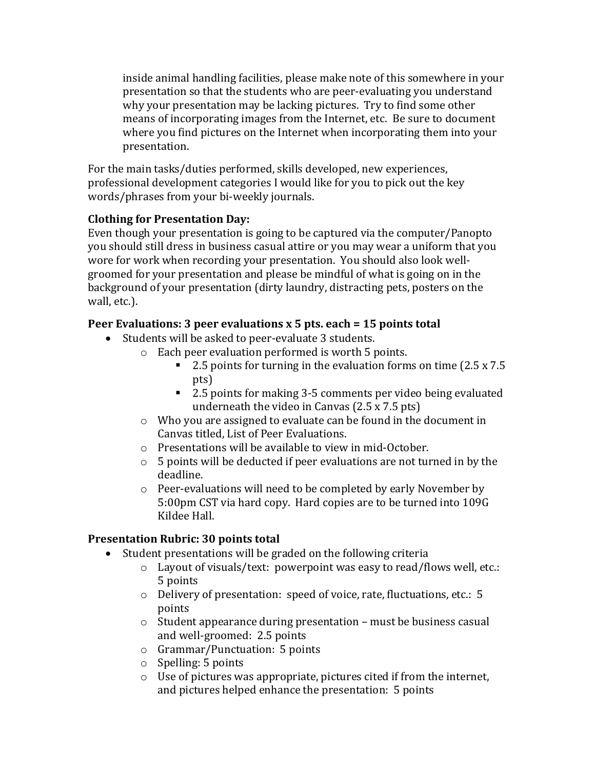inside animal handling facilities, please make note of this somewhere in your presentation so that the students who are peer-evaluating you understand why your presentation may be lacking pictures. Try to find some other means of incorporating images from the Internet, etc. Be sure to document where you find pictures on the Internet when incorporating them into your presentation. 

For the main tasks/duties performed, skills developed, new experiences, professional development categories I would like for you to pick out the key words/phrases from your bi-weekly journals.

## **Clothing for Presentation Day:**

Even though your presentation is going to be captured via the computer/Panopto you should still dress in business casual attire or you may wear a uniform that you wore for work when recording your presentation. You should also look wellgroomed for your presentation and please be mindful of what is going on in the background of your presentation (dirty laundry, distracting pets, posters on the wall, etc.).

## **Peer Evaluations: 3 peer evaluations x 5 pts. each = 15 points total**

- Students will be asked to peer-evaluate 3 students.
	- $\circ$  Each peer evaluation performed is worth 5 points.
		- 2.5 points for turning in the evaluation forms on time  $(2.5 \times 7.5)$ pts)
		- 2.5 points for making 3-5 comments per video being evaluated underneath the video in Canvas  $(2.5 \times 7.5 \text{ pts})$
	- $\circ$  Who you are assigned to evaluate can be found in the document in Canvas titled, List of Peer Evaluations.
	- $\circ$  Presentations will be available to view in mid-October.
	- $\circ$  5 points will be deducted if peer evaluations are not turned in by the deadline.
	- $\circ$  Peer-evaluations will need to be completed by early November by 5:00pm CST via hard copy. Hard copies are to be turned into 109G Kildee Hall.

## **Presentation Rubric: 30 points total**

- $\bullet$  Student presentations will be graded on the following criteria
	- $\circ$  Layout of visuals/text: powerpoint was easy to read/flows well, etc.: 5 points
	- $\circ$  Delivery of presentation: speed of voice, rate, fluctuations, etc.: 5 points
	- $\circ$  Student appearance during presentation must be business casual and well-groomed: 2.5 points
	- $\circ$  Grammar/Punctuation: 5 points
	- $\circ$  Spelling: 5 points
	- $\circ$  Use of pictures was appropriate, pictures cited if from the internet, and pictures helped enhance the presentation: 5 points